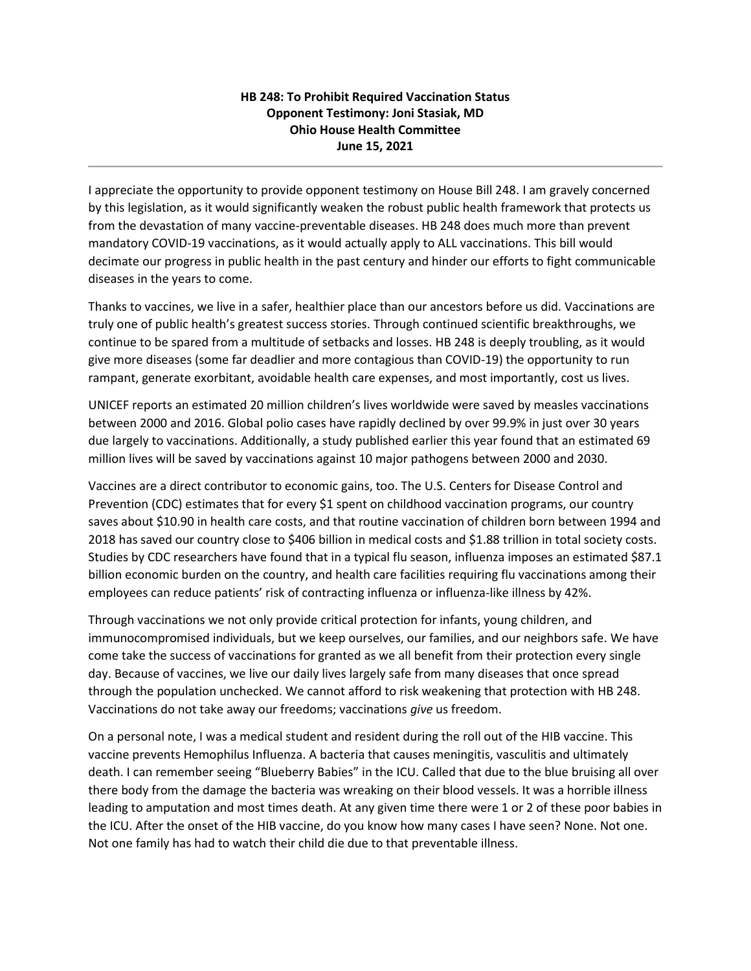## **HB 248: To Prohibit Required Vaccination Status Opponent Testimony: Joni Stasiak, MD Ohio House Health Committee June 15, 2021**

I appreciate the opportunity to provide opponent testimony on House Bill 248. I am gravely concerned by this legislation, as it would significantly weaken the robust public health framework that protects us from the devastation of many vaccine-preventable diseases. HB 248 does much more than prevent mandatory COVID-19 vaccinations, as it would actually apply to ALL vaccinations. This bill would decimate our progress in public health in the past century and hinder our efforts to fight communicable diseases in the years to come.

Thanks to vaccines, we live in a safer, healthier place than our ancestors before us did. Vaccinations are truly one of public health's greatest success stories. Through continued scientific breakthroughs, we continue to be spared from a multitude of setbacks and losses. HB 248 is deeply troubling, as it would give more diseases (some far deadlier and more contagious than COVID-19) the opportunity to run rampant, generate exorbitant, avoidable health care expenses, and most importantly, cost us lives.

UNICEF reports an estimated 20 million children's lives worldwide were saved by measles vaccinations between 2000 and 2016. Global polio cases have rapidly declined by over 99.9% in just over 30 years due largely to vaccinations. Additionally, a study published earlier this year found that an estimated 69 million lives will be saved by vaccinations against 10 major pathogens between 2000 and 2030.

Vaccines are a direct contributor to economic gains, too. The U.S. Centers for Disease Control and Prevention (CDC) estimates that for every \$1 spent on childhood vaccination programs, our country saves about \$10.90 in health care costs, and that routine vaccination of children born between 1994 and 2018 has saved our country close to \$406 billion in medical costs and \$1.88 trillion in total society costs. Studies by CDC researchers have found that in a typical flu season, influenza imposes an estimated \$87.1 billion economic burden on the country, and health care facilities requiring flu vaccinations among their employees can reduce patients' risk of contracting influenza or influenza-like illness by 42%.

Through vaccinations we not only provide critical protection for infants, young children, and immunocompromised individuals, but we keep ourselves, our families, and our neighbors safe. We have come take the success of vaccinations for granted as we all benefit from their protection every single day. Because of vaccines, we live our daily lives largely safe from many diseases that once spread through the population unchecked. We cannot afford to risk weakening that protection with HB 248. Vaccinations do not take away our freedoms; vaccinations *give* us freedom.

On a personal note, I was a medical student and resident during the roll out of the HIB vaccine. This vaccine prevents Hemophilus Influenza. A bacteria that causes meningitis, vasculitis and ultimately death. I can remember seeing "Blueberry Babies" in the ICU. Called that due to the blue bruising all over there body from the damage the bacteria was wreaking on their blood vessels. It was a horrible illness leading to amputation and most times death. At any given time there were 1 or 2 of these poor babies in the ICU. After the onset of the HIB vaccine, do you know how many cases I have seen? None. Not one. Not one family has had to watch their child die due to that preventable illness.